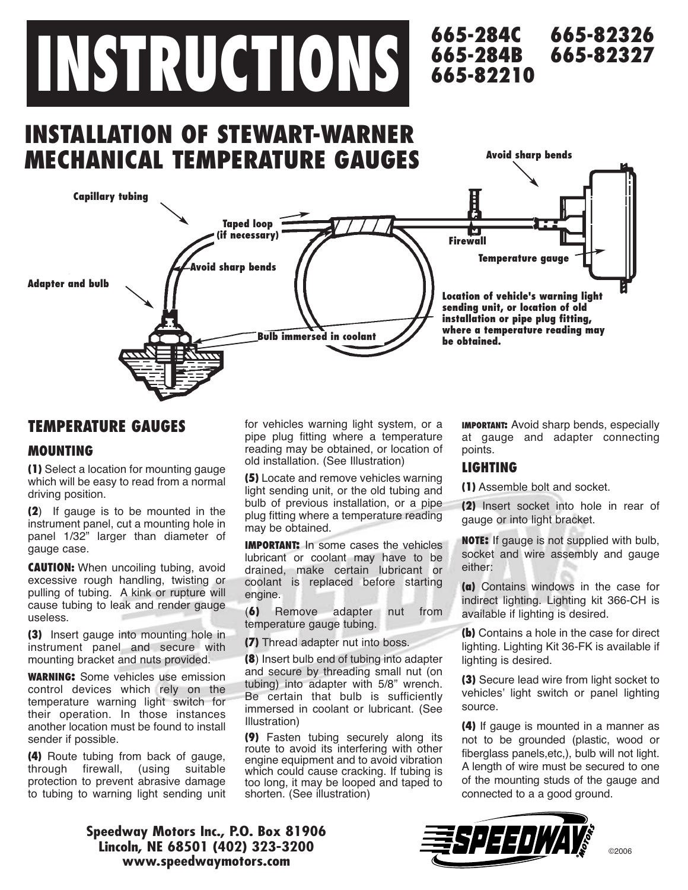# **INSTRUCTIONS**

# **INSTALLATION OF STEWART-WARNER MECHANICAL TEMPERATURE GAUGES**



# **TEMPERATURE GAUGES**

### **MOUNTING**

**(1)** Select a location for mounting gauge which will be easy to read from a normal driving position.

**(2**) If gauge is to be mounted in the instrument panel, cut a mounting hole in panel 1/32" larger than diameter of gauge case.

**CAUTION:** When uncoiling tubing, avoid excessive rough handling, twisting or pulling of tubing. A kink or rupture will cause tubing to leak and render gauge useless.

**(3)** Insert gauge into mounting hole in instrument panel and secure with mounting bracket and nuts provided.

**WARNING:** Some vehicles use emission control devices which rely on the temperature warning light switch for their operation. In those instances another location must be found to install sender if possible.

**(4)** Route tubing from back of gauge, through firewall, (using suitable protection to prevent abrasive damage to tubing to warning light sending unit for vehicles warning light system, or a pipe plug fitting where a temperature reading may be obtained, or location of old installation. (See Illustration)

**(5)** Locate and remove vehicles warning light sending unit, or the old tubing and bulb of previous installation, or a pipe plug fitting where a temperature reading may be obtained.

**IMPORTANT:** In some cases the vehicles lubricant or coolant may have to be drained, make certain lubricant or coolant is replaced before starting engine.

(**6)** Remove adapter nut from temperature gauge tubing.

**(7)** Thread adapter nut into boss.

**(8**) Insert bulb end of tubing into adapter and secure by threading small nut (on tubing) into adapter with 5/8" wrench. Be certain that bulb is sufficiently immersed in coolant or lubricant. (See Illustration)

**(9)** Fasten tubing securely along its route to avoid its interfering with other engine equipment and to avoid vibration which could cause cracking. If tubing is too long, it may be looped and taped to shorten. (See illustration)

**IMPORTANT:** Avoid sharp bends, especially at gauge and adapter connecting points.

### **LIGHTING**

**665-284C 665-284B 665-82210**

**665-82326**

**Avoid sharp bends**

**665-82327**

**(1)** Assemble bolt and socket.

**(2)** Insert socket into hole in rear of gauge or into light bracket.

**NOTE:** If gauge is not supplied with bulb, socket and wire assembly and gauge either:

**(a)** Contains windows in the case for indirect lighting. Lighting kit 366-CH is available if lighting is desired.

**(b)** Contains a hole in the case for direct lighting. Lighting Kit 36-FK is available if lighting is desired.

**(3)** Secure lead wire from light socket to vehicles' light switch or panel lighting source.

**(4)** If gauge is mounted in a manner as not to be grounded (plastic, wood or fiberglass panels,etc,), bulb will not light. A length of wire must be secured to one of the mounting studs of the gauge and connected to a a good ground.

**Speedway Motors Inc., P.O. Box 81906 Lincoln, NE 68501 (402) 323-3200 www.speedwaymotors.com**